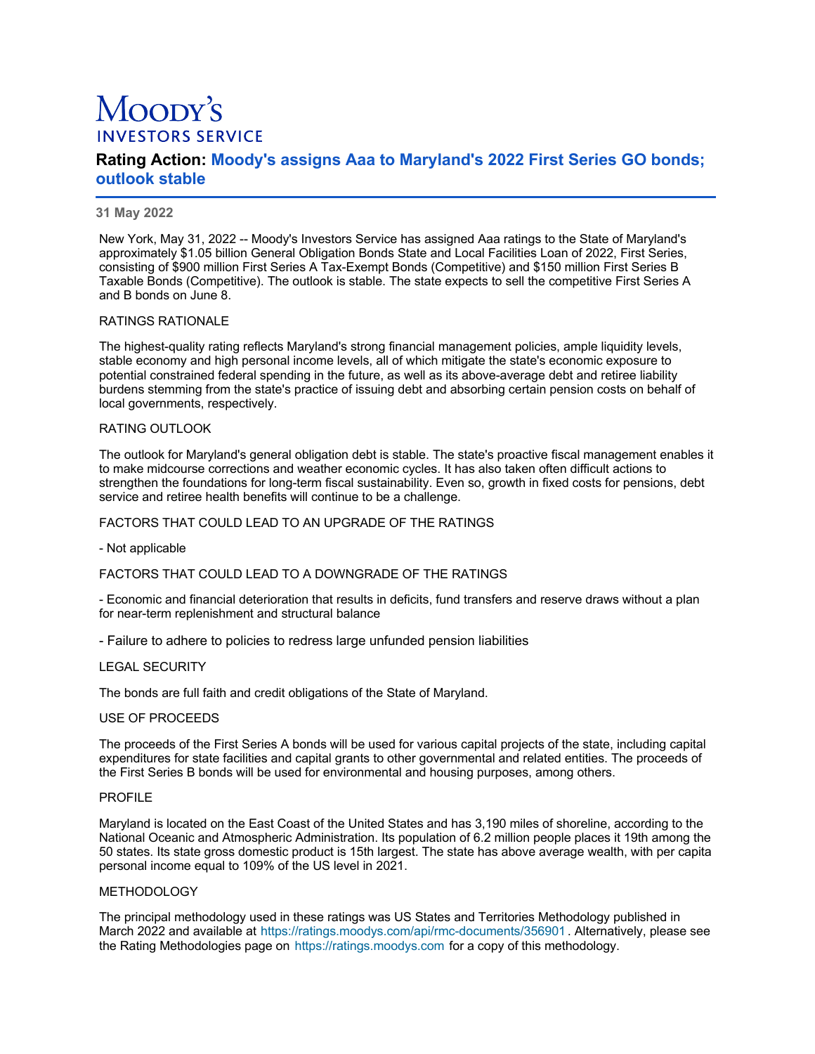# Moopy's **INVESTORS SERVICE**

# **Rating Action: Moody's assigns Aaa to Maryland's 2022 First Series GO bonds; outlook stable**

# **31 May 2022**

New York, May 31, 2022 -- Moody's Investors Service has assigned Aaa ratings to the State of Maryland's approximately \$1.05 billion General Obligation Bonds State and Local Facilities Loan of 2022, First Series, consisting of \$900 million First Series A Tax-Exempt Bonds (Competitive) and \$150 million First Series B Taxable Bonds (Competitive). The outlook is stable. The state expects to sell the competitive First Series A and B bonds on June 8.

# RATINGS RATIONALE

The highest-quality rating reflects Maryland's strong financial management policies, ample liquidity levels, stable economy and high personal income levels, all of which mitigate the state's economic exposure to potential constrained federal spending in the future, as well as its above-average debt and retiree liability burdens stemming from the state's practice of issuing debt and absorbing certain pension costs on behalf of local governments, respectively.

# RATING OUTLOOK

The outlook for Maryland's general obligation debt is stable. The state's proactive fiscal management enables it to make midcourse corrections and weather economic cycles. It has also taken often difficult actions to strengthen the foundations for long-term fiscal sustainability. Even so, growth in fixed costs for pensions, debt service and retiree health benefits will continue to be a challenge.

# FACTORS THAT COULD LEAD TO AN UPGRADE OF THE RATINGS

- Not applicable

# FACTORS THAT COULD LEAD TO A DOWNGRADE OF THE RATINGS

- Economic and financial deterioration that results in deficits, fund transfers and reserve draws without a plan for near-term replenishment and structural balance

- Failure to adhere to policies to redress large unfunded pension liabilities

#### LEGAL SECURITY

The bonds are full faith and credit obligations of the State of Maryland.

# USE OF PROCEEDS

The proceeds of the First Series A bonds will be used for various capital projects of the state, including capital expenditures for state facilities and capital grants to other governmental and related entities. The proceeds of the First Series B bonds will be used for environmental and housing purposes, among others.

## PROFILE

Maryland is located on the East Coast of the United States and has 3,190 miles of shoreline, according to the National Oceanic and Atmospheric Administration. Its population of 6.2 million people places it 19th among the 50 states. Its state gross domestic product is 15th largest. The state has above average wealth, with per capita personal income equal to 109% of the US level in 2021.

# METHODOLOGY

The principal methodology used in these ratings was US States and Territories Methodology published in March 2022 and available at <https://ratings.moodys.com/api/rmc-documents/356901> . Alternatively, please see the Rating Methodologies page on [https://ratings.moodys.com](https://ratings.moodys.com/) for a copy of this methodology.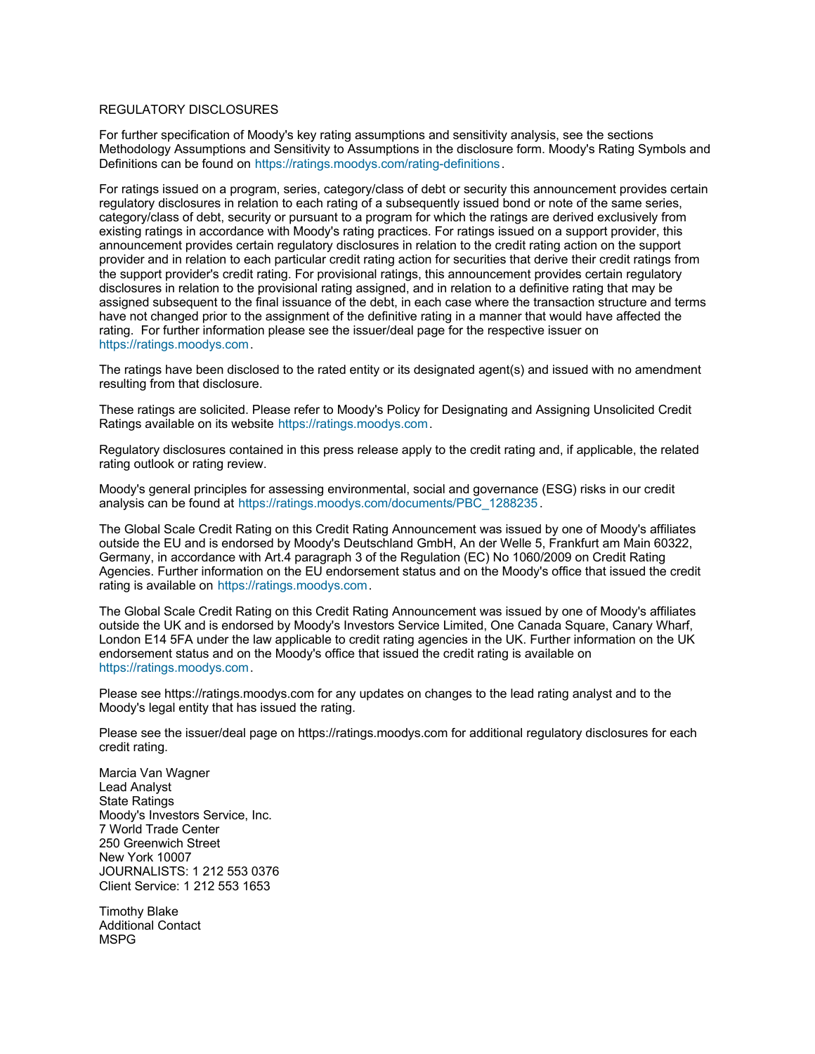# REGULATORY DISCLOSURES

For further specification of Moody's key rating assumptions and sensitivity analysis, see the sections Methodology Assumptions and Sensitivity to Assumptions in the disclosure form. Moody's Rating Symbols and Definitions can be found on<https://ratings.moodys.com/rating-definitions>.

For ratings issued on a program, series, category/class of debt or security this announcement provides certain regulatory disclosures in relation to each rating of a subsequently issued bond or note of the same series, category/class of debt, security or pursuant to a program for which the ratings are derived exclusively from existing ratings in accordance with Moody's rating practices. For ratings issued on a support provider, this announcement provides certain regulatory disclosures in relation to the credit rating action on the support provider and in relation to each particular credit rating action for securities that derive their credit ratings from the support provider's credit rating. For provisional ratings, this announcement provides certain regulatory disclosures in relation to the provisional rating assigned, and in relation to a definitive rating that may be assigned subsequent to the final issuance of the debt, in each case where the transaction structure and terms have not changed prior to the assignment of the definitive rating in a manner that would have affected the rating. For further information please see the issuer/deal page for the respective issuer on [https://ratings.moodys.com](https://ratings.moodys.com/).

The ratings have been disclosed to the rated entity or its designated agent(s) and issued with no amendment resulting from that disclosure.

These ratings are solicited. Please refer to Moody's Policy for Designating and Assigning Unsolicited Credit Ratings available on its website [https://ratings.moodys.com](https://ratings.moodys.com/).

Regulatory disclosures contained in this press release apply to the credit rating and, if applicable, the related rating outlook or rating review.

Moody's general principles for assessing environmental, social and governance (ESG) risks in our credit analysis can be found at [https://ratings.moodys.com/documents/PBC\\_1288235](https://ratings.moodys.com/documents/PBC_1288235).

The Global Scale Credit Rating on this Credit Rating Announcement was issued by one of Moody's affiliates outside the EU and is endorsed by Moody's Deutschland GmbH, An der Welle 5, Frankfurt am Main 60322, Germany, in accordance with Art.4 paragraph 3 of the Regulation (EC) No 1060/2009 on Credit Rating Agencies. Further information on the EU endorsement status and on the Moody's office that issued the credit rating is available on [https://ratings.moodys.com](https://ratings.moodys.com/).

The Global Scale Credit Rating on this Credit Rating Announcement was issued by one of Moody's affiliates outside the UK and is endorsed by Moody's Investors Service Limited, One Canada Square, Canary Wharf, London E14 5FA under the law applicable to credit rating agencies in the UK. Further information on the UK endorsement status and on the Moody's office that issued the credit rating is available on [https://ratings.moodys.com](https://ratings.moodys.com/).

Please see https://ratings.moodys.com for any updates on changes to the lead rating analyst and to the Moody's legal entity that has issued the rating.

Please see the issuer/deal page on https://ratings.moodys.com for additional regulatory disclosures for each credit rating.

Marcia Van Wagner Lead Analyst State Ratings Moody's Investors Service, Inc. 7 World Trade Center 250 Greenwich Street New York 10007 JOURNALISTS: 1 212 553 0376 Client Service: 1 212 553 1653

Timothy Blake Additional Contact MSPG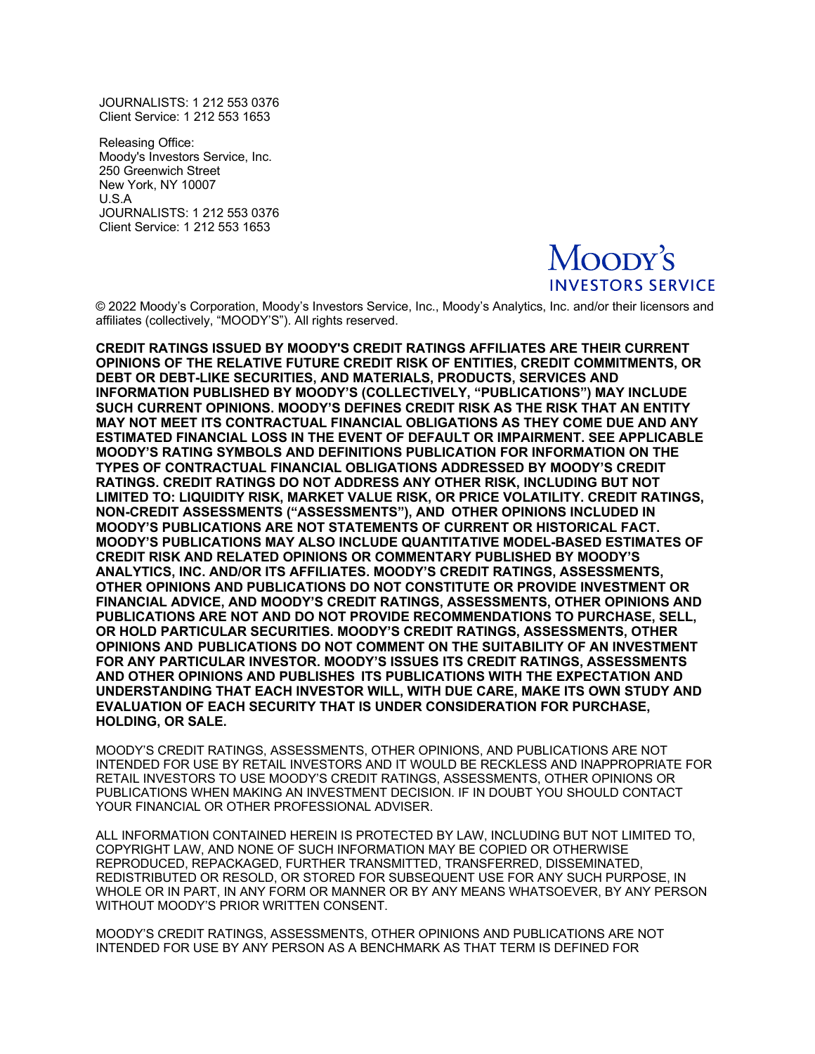JOURNALISTS: 1 212 553 0376 Client Service: 1 212 553 1653

Releasing Office: Moody's Investors Service, Inc. 250 Greenwich Street New York, NY 10007 U.S.A JOURNALISTS: 1 212 553 0376 Client Service: 1 212 553 1653



© 2022 Moody's Corporation, Moody's Investors Service, Inc., Moody's Analytics, Inc. and/or their licensors and affiliates (collectively, "MOODY'S"). All rights reserved.

**CREDIT RATINGS ISSUED BY MOODY'S CREDIT RATINGS AFFILIATES ARE THEIR CURRENT OPINIONS OF THE RELATIVE FUTURE CREDIT RISK OF ENTITIES, CREDIT COMMITMENTS, OR DEBT OR DEBT-LIKE SECURITIES, AND MATERIALS, PRODUCTS, SERVICES AND INFORMATION PUBLISHED BY MOODY'S (COLLECTIVELY, "PUBLICATIONS") MAY INCLUDE SUCH CURRENT OPINIONS. MOODY'S DEFINES CREDIT RISK AS THE RISK THAT AN ENTITY MAY NOT MEET ITS CONTRACTUAL FINANCIAL OBLIGATIONS AS THEY COME DUE AND ANY ESTIMATED FINANCIAL LOSS IN THE EVENT OF DEFAULT OR IMPAIRMENT. SEE APPLICABLE MOODY'S RATING SYMBOLS AND DEFINITIONS PUBLICATION FOR INFORMATION ON THE TYPES OF CONTRACTUAL FINANCIAL OBLIGATIONS ADDRESSED BY MOODY'S CREDIT RATINGS. CREDIT RATINGS DO NOT ADDRESS ANY OTHER RISK, INCLUDING BUT NOT LIMITED TO: LIQUIDITY RISK, MARKET VALUE RISK, OR PRICE VOLATILITY. CREDIT RATINGS, NON-CREDIT ASSESSMENTS ("ASSESSMENTS"), AND OTHER OPINIONS INCLUDED IN MOODY'S PUBLICATIONS ARE NOT STATEMENTS OF CURRENT OR HISTORICAL FACT. MOODY'S PUBLICATIONS MAY ALSO INCLUDE QUANTITATIVE MODEL-BASED ESTIMATES OF CREDIT RISK AND RELATED OPINIONS OR COMMENTARY PUBLISHED BY MOODY'S ANALYTICS, INC. AND/OR ITS AFFILIATES. MOODY'S CREDIT RATINGS, ASSESSMENTS, OTHER OPINIONS AND PUBLICATIONS DO NOT CONSTITUTE OR PROVIDE INVESTMENT OR FINANCIAL ADVICE, AND MOODY'S CREDIT RATINGS, ASSESSMENTS, OTHER OPINIONS AND PUBLICATIONS ARE NOT AND DO NOT PROVIDE RECOMMENDATIONS TO PURCHASE, SELL, OR HOLD PARTICULAR SECURITIES. MOODY'S CREDIT RATINGS, ASSESSMENTS, OTHER OPINIONS AND PUBLICATIONS DO NOT COMMENT ON THE SUITABILITY OF AN INVESTMENT FOR ANY PARTICULAR INVESTOR. MOODY'S ISSUES ITS CREDIT RATINGS, ASSESSMENTS AND OTHER OPINIONS AND PUBLISHES ITS PUBLICATIONS WITH THE EXPECTATION AND UNDERSTANDING THAT EACH INVESTOR WILL, WITH DUE CARE, MAKE ITS OWN STUDY AND EVALUATION OF EACH SECURITY THAT IS UNDER CONSIDERATION FOR PURCHASE, HOLDING, OR SALE.** 

MOODY'S CREDIT RATINGS, ASSESSMENTS, OTHER OPINIONS, AND PUBLICATIONS ARE NOT INTENDED FOR USE BY RETAIL INVESTORS AND IT WOULD BE RECKLESS AND INAPPROPRIATE FOR RETAIL INVESTORS TO USE MOODY'S CREDIT RATINGS, ASSESSMENTS, OTHER OPINIONS OR PUBLICATIONS WHEN MAKING AN INVESTMENT DECISION. IF IN DOUBT YOU SHOULD CONTACT YOUR FINANCIAL OR OTHER PROFESSIONAL ADVISER.

ALL INFORMATION CONTAINED HEREIN IS PROTECTED BY LAW, INCLUDING BUT NOT LIMITED TO, COPYRIGHT LAW, AND NONE OF SUCH INFORMATION MAY BE COPIED OR OTHERWISE REPRODUCED, REPACKAGED, FURTHER TRANSMITTED, TRANSFERRED, DISSEMINATED, REDISTRIBUTED OR RESOLD, OR STORED FOR SUBSEQUENT USE FOR ANY SUCH PURPOSE, IN WHOLE OR IN PART, IN ANY FORM OR MANNER OR BY ANY MEANS WHATSOEVER, BY ANY PERSON WITHOUT MOODY'S PRIOR WRITTEN CONSENT.

MOODY'S CREDIT RATINGS, ASSESSMENTS, OTHER OPINIONS AND PUBLICATIONS ARE NOT INTENDED FOR USE BY ANY PERSON AS A BENCHMARK AS THAT TERM IS DEFINED FOR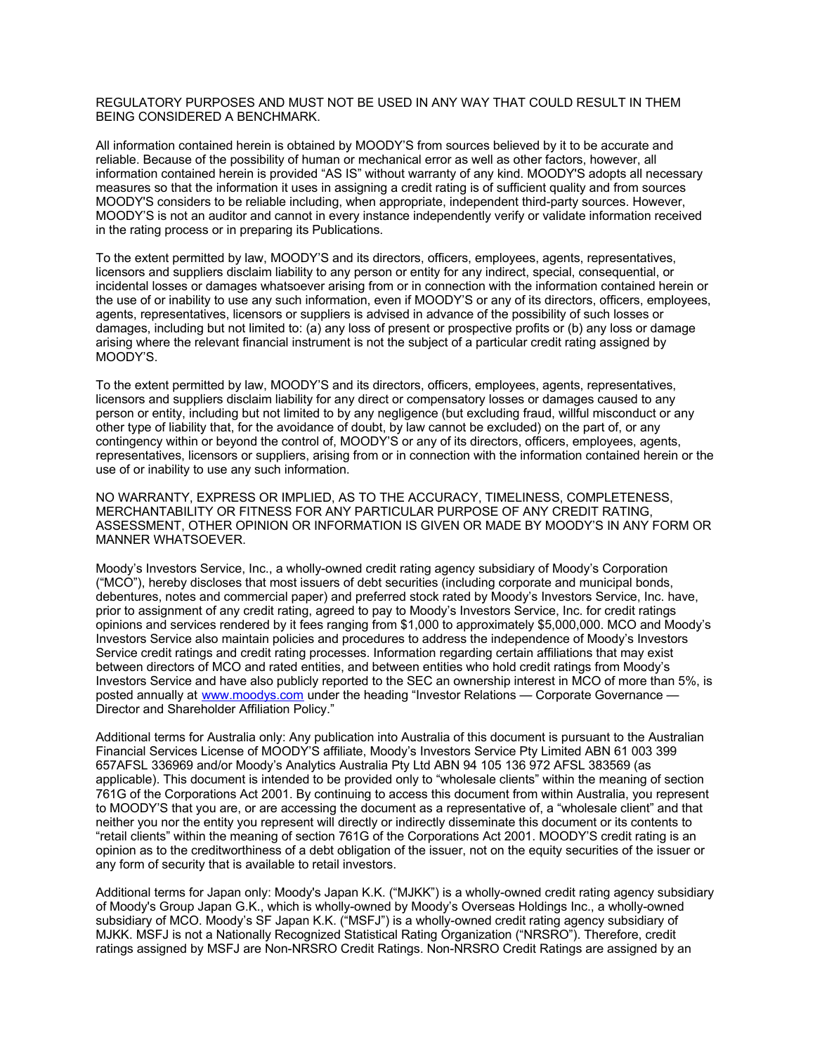# REGULATORY PURPOSES AND MUST NOT BE USED IN ANY WAY THAT COULD RESULT IN THEM BEING CONSIDERED A BENCHMARK.

All information contained herein is obtained by MOODY'S from sources believed by it to be accurate and reliable. Because of the possibility of human or mechanical error as well as other factors, however, all information contained herein is provided "AS IS" without warranty of any kind. MOODY'S adopts all necessary measures so that the information it uses in assigning a credit rating is of sufficient quality and from sources MOODY'S considers to be reliable including, when appropriate, independent third-party sources. However, MOODY'S is not an auditor and cannot in every instance independently verify or validate information received in the rating process or in preparing its Publications.

To the extent permitted by law, MOODY'S and its directors, officers, employees, agents, representatives, licensors and suppliers disclaim liability to any person or entity for any indirect, special, consequential, or incidental losses or damages whatsoever arising from or in connection with the information contained herein or the use of or inability to use any such information, even if MOODY'S or any of its directors, officers, employees, agents, representatives, licensors or suppliers is advised in advance of the possibility of such losses or damages, including but not limited to: (a) any loss of present or prospective profits or (b) any loss or damage arising where the relevant financial instrument is not the subject of a particular credit rating assigned by MOODY'S.

To the extent permitted by law, MOODY'S and its directors, officers, employees, agents, representatives, licensors and suppliers disclaim liability for any direct or compensatory losses or damages caused to any person or entity, including but not limited to by any negligence (but excluding fraud, willful misconduct or any other type of liability that, for the avoidance of doubt, by law cannot be excluded) on the part of, or any contingency within or beyond the control of, MOODY'S or any of its directors, officers, employees, agents, representatives, licensors or suppliers, arising from or in connection with the information contained herein or the use of or inability to use any such information.

NO WARRANTY, EXPRESS OR IMPLIED, AS TO THE ACCURACY, TIMELINESS, COMPLETENESS, MERCHANTABILITY OR FITNESS FOR ANY PARTICULAR PURPOSE OF ANY CREDIT RATING, ASSESSMENT, OTHER OPINION OR INFORMATION IS GIVEN OR MADE BY MOODY'S IN ANY FORM OR MANNER WHATSOEVER.

Moody's Investors Service, Inc., a wholly-owned credit rating agency subsidiary of Moody's Corporation ("MCO"), hereby discloses that most issuers of debt securities (including corporate and municipal bonds, debentures, notes and commercial paper) and preferred stock rated by Moody's Investors Service, Inc. have, prior to assignment of any credit rating, agreed to pay to Moody's Investors Service, Inc. for credit ratings opinions and services rendered by it fees ranging from \$1,000 to approximately \$5,000,000. MCO and Moody's Investors Service also maintain policies and procedures to address the independence of Moody's Investors Service credit ratings and credit rating processes. Information regarding certain affiliations that may exist between directors of MCO and rated entities, and between entities who hold credit ratings from Moody's Investors Service and have also publicly reported to the SEC an ownership interest in MCO of more than 5%, is posted annually at [www.moodys.com](http://www.moodys.com/) under the heading "Investor Relations — Corporate Governance — Director and Shareholder Affiliation Policy."

Additional terms for Australia only: Any publication into Australia of this document is pursuant to the Australian Financial Services License of MOODY'S affiliate, Moody's Investors Service Pty Limited ABN 61 003 399 657AFSL 336969 and/or Moody's Analytics Australia Pty Ltd ABN 94 105 136 972 AFSL 383569 (as applicable). This document is intended to be provided only to "wholesale clients" within the meaning of section 761G of the Corporations Act 2001. By continuing to access this document from within Australia, you represent to MOODY'S that you are, or are accessing the document as a representative of, a "wholesale client" and that neither you nor the entity you represent will directly or indirectly disseminate this document or its contents to "retail clients" within the meaning of section 761G of the Corporations Act 2001. MOODY'S credit rating is an opinion as to the creditworthiness of a debt obligation of the issuer, not on the equity securities of the issuer or any form of security that is available to retail investors.

Additional terms for Japan only: Moody's Japan K.K. ("MJKK") is a wholly-owned credit rating agency subsidiary of Moody's Group Japan G.K., which is wholly-owned by Moody's Overseas Holdings Inc., a wholly-owned subsidiary of MCO. Moody's SF Japan K.K. ("MSFJ") is a wholly-owned credit rating agency subsidiary of MJKK. MSFJ is not a Nationally Recognized Statistical Rating Organization ("NRSRO"). Therefore, credit ratings assigned by MSFJ are Non-NRSRO Credit Ratings. Non-NRSRO Credit Ratings are assigned by an